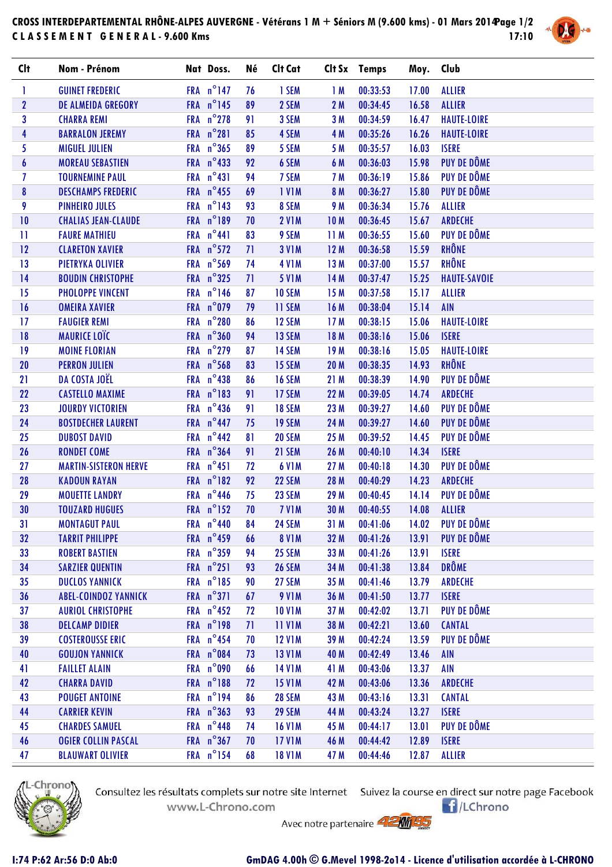## **CROSS INTERDEPARTEMENTAL RHÔNE-ALPES AUVERGNE - Vétérans 1 M + Séniors M (9.600 kms) - 01 Mars 2014 Page 1/2 C L A S S E M E N T G E N E R A L - 9.600 Kms 17:10**



| <b>Clt</b>              | Nom - Prénom                 | Nat Doss.           | Né | Clt Cat       |                 | Clt Sx Temps | Moy. Club |                     |
|-------------------------|------------------------------|---------------------|----|---------------|-----------------|--------------|-----------|---------------------|
| 1                       | <b>GUINET FREDERIC</b>       | FRA $n^{\circ}$ 147 | 76 | 1 SEM         | 1M              | 00:33:53     | 17.00     | <b>ALLIER</b>       |
| $\mathbf{2}$            | <b>DE ALMEIDA GREGORY</b>    | FRA n°145           | 89 | 2 SEM         | 2M              | 00:34:45     | 16.58     | <b>ALLIER</b>       |
| $\overline{\mathbf{3}}$ | <b>CHARRA REMI</b>           | FRA n°278           | 91 | 3 SEM         | 3M              | 00:34:59     | 16.47     | <b>HAUTE-LOIRE</b>  |
| $\overline{\mathbf{4}}$ | <b>BARRALON JEREMY</b>       | FRA n°281           | 85 | 4 SEM         | 4 M             | 00:35:26     | 16.26     | <b>HAUTE-LOIRE</b>  |
| 5                       | <b>MIGUEL JULIEN</b>         | FRA n°365           | 89 | 5 SEM         | 5 M             | 00:35:57     | 16.03     | <b>ISERE</b>        |
| $\boldsymbol{6}$        | <b>MOREAU SEBASTIEN</b>      | FRA $n^{\circ}$ 433 | 92 | 6 SEM         | 6 M             | 00:36:03     | 15.98     | PUY DE DÔME         |
| $\overline{I}$          | <b>TOURNEMINE PAUL</b>       | FRA n°431           | 94 | 7 SEM         | 7 M             | 00:36:19     | 15.86     | PUY DE DÔME         |
| 8                       | <b>DESCHAMPS FREDERIC</b>    | FRA $n^{\circ}$ 455 | 69 | <b>IVIM</b>   | 8 M             | 00:36:27     | 15.80     | PUY DE DÔME         |
| 9                       | <b>PINHEIRO JULES</b>        | FRA n°143           | 93 | 8 SEM         | 9 M             | 00:36:34     | 15.76     | <b>ALLIER</b>       |
| 10                      | <b>CHALIAS JEAN-CLAUDE</b>   | FRA n°189           | 70 | <b>2 V1M</b>  | 10 <sub>M</sub> | 00:36:45     | 15.67     | <b>ARDECHE</b>      |
| $\mathbf{1}$            | <b>FAURE MATHIEU</b>         | FRA n°441           | 83 | 9 SEM         | 11M             | 00:36:55     | 15.60     | PUY DE DÔME         |
| 12                      | <b>CLARETON XAVIER</b>       | FRA n°572           | 71 | <b>3 V1M</b>  | 12M             | 00:36:58     | 15.59     | RHÔNE               |
| 13                      | PIETRYKA OLIVIER             | FRA n°569           | 74 | <b>4 V1M</b>  | 13M             | 00:37:00     | 15.57     | <b>RHÔNE</b>        |
| 14                      | <b>BOUDIN CHRISTOPHE</b>     | FRA $n^{\circ}325$  | 71 | <b>5 V1M</b>  | 14M             | 00:37:47     | 15.25     | <b>HAUTE-SAVOIE</b> |
| 15                      | <b>PHOLOPPE VINCENT</b>      | FRA n°146           | 87 | <b>10 SEM</b> | 15M             | 00:37:58     | 15.17     | <b>ALLIER</b>       |
| 16                      | <b>OMEIRA XAVIER</b>         | FRA n°079           | 79 | 11 SEM        | 16M             | 00:38:04     | 15.14     | <b>AIN</b>          |
| 17                      | <b>FAUGIER REMI</b>          | FRA n°280           | 86 | 12 SEM        | 17M             | 00:38:15     | 15.06     | <b>HAUTE-LOIRE</b>  |
| 18                      | <b>MAURICE LOÏC</b>          | FRA n°360           | 94 | 13 SEM        | 18 M            | 00:38:16     | 15.06     | <b>ISERE</b>        |
| 19                      | <b>MOINE FLORIAN</b>         | FRA n°279           | 87 | 14 SEM        | 19M             | 00:38:16     | 15.05     | <b>HAUTE-LOIRE</b>  |
| 20                      | <b>PERRON JULIEN</b>         | FRA n°568           | 83 | 15 SEM        | <b>20 M</b>     | 00:38:35     | 14.93     | RHÔNE               |
| 21                      | DA COSTA JOËL                | FRA $n^{\circ}$ 438 | 86 | <b>16 SEM</b> | 21M             | 00:38:39     | 14.90     | PUY DE DÔME         |
| 22                      | <b>CASTELLO MAXIME</b>       | FRA n°183           | 91 | 17 SEM        | 22 M            | 00:39:05     | 14.74     | ARDECHE             |
| 23                      | <b>JOURDY VICTORIEN</b>      | FRA $n^{\circ}$ 436 | 91 | <b>18 SEM</b> | 23 M            | 00:39:27     | 14.60     | PUY DE DÔME         |
| 24                      | <b>BOSTDECHER LAURENT</b>    | FRA $n^{\circ}$ 447 | 75 | 19 SEM        | 24 M            | 00:39:27     | 14.60     | PUY DE DÔME         |
| 25 <sub>2</sub>         | <b>DUBOST DAVID</b>          | FRA $n^{\circ}$ 442 | 81 | <b>20 SEM</b> | 25 M            | 00:39:52     | 14.45     | PUY DE DÔME         |
| 26                      | <b>RONDET COME</b>           | FRA n°364           | 91 | 21 SEM        | 26 M            | 00:40:10     | 14.34     | <b>ISERE</b>        |
| 27                      | <b>MARTIN-SISTERON HERVE</b> | FRA n°451           | 72 | <b>6 V1M</b>  | 27 M            | 00:40:18     | 14.30     | PUY DE DÔME         |
| 28                      | <b>KADOUN RAYAN</b>          | FRA n°182           | 92 | 22 SEM        | 28 M            | 00:40:29     | 14.23     | <b>ARDECHE</b>      |
| 29                      | <b>MOUETTE LANDRY</b>        | FRA $n^{\circ}$ 446 | 75 | 23 SEM        | 29 M            | 00:40:45     | 14.14     | PUY DE DÔME         |
| 30                      | <b>TOUZARD HUGUES</b>        | FRA n°152           | 70 | 7 VIM         | 30 M            | 00:40:55     | 14.08     | <b>ALLIER</b>       |
| 31                      | <b>MONTAGUT PAUL</b>         | FRA n°440           | 84 | 24 SEM        | 31 M            | 00:41:06     | 14.02     | PUY DE DÔME         |
| 32                      | <b>TARRIT PHILIPPE</b>       | FRA n°459           | 66 | <b>8 V1M</b>  | 32 M            | 00:41:26     | 13.91     | PUY DE DÔME         |
| 33                      | <b>ROBERT BASTIEN</b>        | FRA $n^{\circ}359$  | 94 | 25 SEM        | 33 M            | 00:41:26     | 13.91     | <b>ISERE</b>        |
| 34                      | <b>SARZIER QUENTIN</b>       | FRA n°251           | 93 | <b>26 SEM</b> | 34 M            | 00:41:38     | 13.84     | <b>DRÔME</b>        |
| 35                      | <b>DUCLOS YANNICK</b>        | FRA n°185           | 90 | 27 SEM        | 35 M            | 00:41:46     | 13.79     | <b>ARDECHE</b>      |
| 36                      | <b>ABEL-COINDOZ YANNICK</b>  | FRA n°371           | 67 | <b>9 V1M</b>  | 36 M            | 00:41:50     | 13.77     | <b>ISERE</b>        |
| 37                      | <b>AURIOL CHRISTOPHE</b>     | FRA $n^{\circ}$ 452 | 72 | <b>10 V1M</b> | 37 M            | 00:42:02     | 13.71     | PUY DE DÔME         |
| 38                      | <b>DELCAMP DIDIER</b>        | FRA n°198           | 71 | <b>11 V1M</b> | 38 M            | 00:42:21     | 13.60     | <b>CANTAL</b>       |
| 39                      | <b>COSTEROUSSE ERIC</b>      | FRA $n^{\circ}$ 454 | 70 | <b>12 V1M</b> | 39 M            | 00:42:24     | 13.59     | PUY DE DÔME         |
| 40                      | <b>GOUJON YANNICK</b>        | FRA n°084           | 73 | <b>13 V1M</b> | 40 M            | 00:42:49     | 13.46     | <b>AIN</b>          |
| 41                      | <b>FAILLET ALAIN</b>         | FRA n°090           | 66 | <b>14 V1M</b> | 41 M            | 00:43:06     | 13.37     | <b>AIN</b>          |
| 42                      | <b>CHARRA DAVID</b>          | FRA n°188           | 72 | <b>15 V1M</b> | 42 M            | 00:43:06     | 13.36     | <b>ARDECHE</b>      |
| 43                      | <b>POUGET ANTOINE</b>        | FRA n°194           | 86 | <b>28 SEM</b> | 43 M            | 00:43:16     | 13.31     | <b>CANTAL</b>       |
| 44                      | <b>CARRIER KEVIN</b>         | FRA n°363           | 93 | <b>29 SEM</b> | 44 M            | 00:43:24     | 13.27     | <b>ISERE</b>        |
| 45                      | <b>CHARDES SAMUEL</b>        | FRA $n^{\circ}$ 448 | 74 | <b>16 V1M</b> | 45 M            | 00:44:17     | 13.01     | PUY DE DÔME         |
| 46                      | <b>OGIER COLLIN PASCAL</b>   | FRA n°367           | 70 | <b>17 V1M</b> | 46 M            | 00:44:42     | 12.89     | <b>ISERE</b>        |
| 47                      | <b>BLAUWART OLIVIER</b>      | FRA n°154           | 68 | <b>18 V1M</b> | 47 M            | 00:44:46     | 12.87     | <b>ALLIER</b>       |



Consultez les résultats complets sur notre site Internet Suivez la course en direct sur notre page Facebook www.L-Chrono.com

 $\bigcap$ /LChrono

Avec notre partenaire **AMMED**